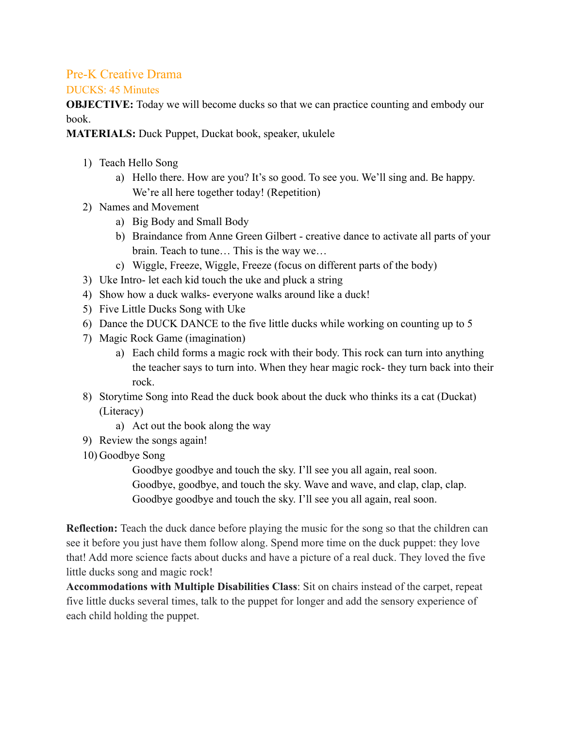## Pre-K Creative Drama

## DUCKS: 45 Minutes

**OBJECTIVE:** Today we will become ducks so that we can practice counting and embody our book.

**MATERIALS:** Duck Puppet, Duckat book, speaker, ukulele

- 1) Teach Hello Song
	- a) Hello there. How are you? It's so good. To see you. We'll sing and. Be happy. We're all here together today! (Repetition)
- 2) Names and Movement
	- a) Big Body and Small Body
	- b) Braindance from Anne Green Gilbert creative dance to activate all parts of your brain. Teach to tune… This is the way we…
	- c) Wiggle, Freeze, Wiggle, Freeze (focus on different parts of the body)
- 3) Uke Intro- let each kid touch the uke and pluck a string
- 4) Show how a duck walks- everyone walks around like a duck!
- 5) Five Little Ducks Song with Uke
- 6) Dance the DUCK DANCE to the five little ducks while working on counting up to 5
- 7) Magic Rock Game (imagination)
	- a) Each child forms a magic rock with their body. This rock can turn into anything the teacher says to turn into. When they hear magic rock- they turn back into their rock.
- 8) Storytime Song into Read the duck book about the duck who thinks its a cat (Duckat) (Literacy)
	- a) Act out the book along the way
- 9) Review the songs again!
- 10) Goodbye Song

Goodbye goodbye and touch the sky. I'll see you all again, real soon. Goodbye, goodbye, and touch the sky. Wave and wave, and clap, clap, clap. Goodbye goodbye and touch the sky. I'll see you all again, real soon.

**Reflection:** Teach the duck dance before playing the music for the song so that the children can see it before you just have them follow along. Spend more time on the duck puppet: they love that! Add more science facts about ducks and have a picture of a real duck. They loved the five little ducks song and magic rock!

**Accommodations with Multiple Disabilities Class**: Sit on chairs instead of the carpet, repeat five little ducks several times, talk to the puppet for longer and add the sensory experience of each child holding the puppet.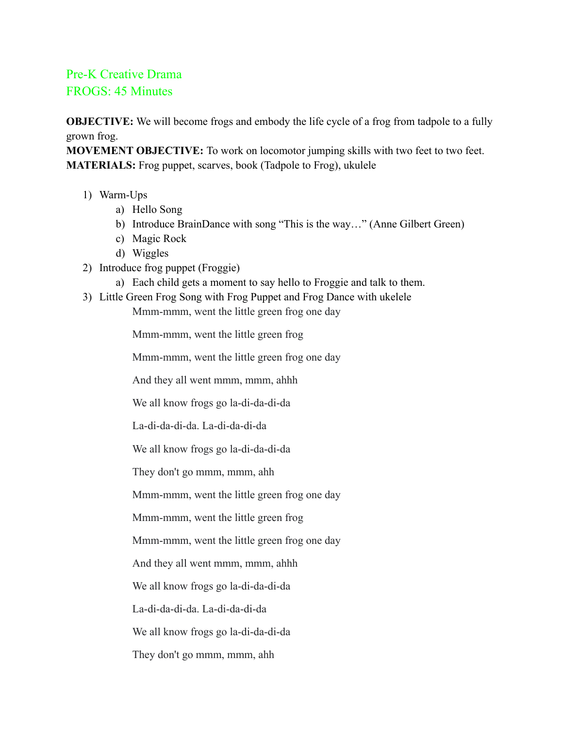## Pre-K Creative Drama FROGS: 45 Minutes

**OBJECTIVE:** We will become frogs and embody the life cycle of a frog from tadpole to a fully grown frog.

**MOVEMENT OBJECTIVE:** To work on locomotor jumping skills with two feet to two feet. **MATERIALS:** Frog puppet, scarves, book (Tadpole to Frog), ukulele

- 1) Warm-Ups
	- a) Hello Song
	- b) Introduce BrainDance with song "This is the way…" (Anne Gilbert Green)
	- c) Magic Rock
	- d) Wiggles
- 2) Introduce frog puppet (Froggie)
	- a) Each child gets a moment to say hello to Froggie and talk to them.
- 3) Little Green Frog Song with Frog Puppet and Frog Dance with ukelele Mmm-mmm, went the little green frog one day

Mmm-mmm, went the little green frog

Mmm-mmm, went the little green frog one day

And they all went mmm, mmm, ahhh

We all know frogs go la-di-da-di-da

La-di-da-di-da. La-di-da-di-da

We all know frogs go la-di-da-di-da

They don't go mmm, mmm, ahh

Mmm-mmm, went the little green frog one day

Mmm-mmm, went the little green frog

Mmm-mmm, went the little green frog one day

And they all went mmm, mmm, ahhh

We all know frogs go la-di-da-di-da

La-di-da-di-da. La-di-da-di-da

We all know frogs go la-di-da-di-da

They don't go mmm, mmm, ahh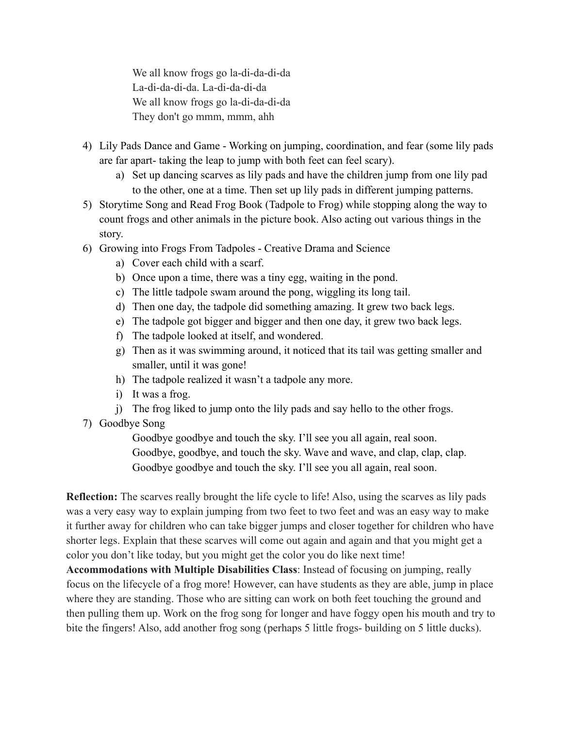We all know frogs go la-di-da-di-da La-di-da-di-da. La-di-da-di-da We all know frogs go la-di-da-di-da They don't go mmm, mmm, ahh

- 4) Lily Pads Dance and Game Working on jumping, coordination, and fear (some lily pads are far apart- taking the leap to jump with both feet can feel scary).
	- a) Set up dancing scarves as lily pads and have the children jump from one lily pad to the other, one at a time. Then set up lily pads in different jumping patterns.
- 5) Storytime Song and Read Frog Book (Tadpole to Frog) while stopping along the way to count frogs and other animals in the picture book. Also acting out various things in the story.
- 6) Growing into Frogs From Tadpoles Creative Drama and Science
	- a) Cover each child with a scarf.
	- b) Once upon a time, there was a tiny egg, waiting in the pond.
	- c) The little tadpole swam around the pong, wiggling its long tail.
	- d) Then one day, the tadpole did something amazing. It grew two back legs.
	- e) The tadpole got bigger and bigger and then one day, it grew two back legs.
	- f) The tadpole looked at itself, and wondered.
	- g) Then as it was swimming around, it noticed that its tail was getting smaller and smaller, until it was gone!
	- h) The tadpole realized it wasn't a tadpole any more.
	- i) It was a frog.
	- j) The frog liked to jump onto the lily pads and say hello to the other frogs.
- 7) Goodbye Song

Goodbye goodbye and touch the sky. I'll see you all again, real soon. Goodbye, goodbye, and touch the sky. Wave and wave, and clap, clap, clap. Goodbye goodbye and touch the sky. I'll see you all again, real soon.

**Reflection:** The scarves really brought the life cycle to life! Also, using the scarves as lily pads was a very easy way to explain jumping from two feet to two feet and was an easy way to make it further away for children who can take bigger jumps and closer together for children who have shorter legs. Explain that these scarves will come out again and again and that you might get a color you don't like today, but you might get the color you do like next time!

**Accommodations with Multiple Disabilities Class**: Instead of focusing on jumping, really focus on the lifecycle of a frog more! However, can have students as they are able, jump in place where they are standing. Those who are sitting can work on both feet touching the ground and then pulling them up. Work on the frog song for longer and have foggy open his mouth and try to bite the fingers! Also, add another frog song (perhaps 5 little frogs- building on 5 little ducks).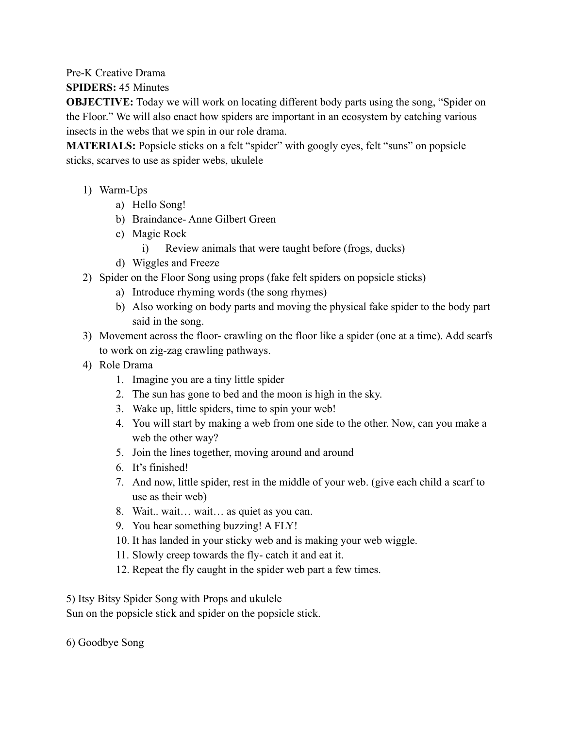Pre-K Creative Drama

**SPIDERS:** 45 Minutes

**OBJECTIVE:** Today we will work on locating different body parts using the song, "Spider on the Floor." We will also enact how spiders are important in an ecosystem by catching various insects in the webs that we spin in our role drama.

**MATERIALS:** Popsicle sticks on a felt "spider" with googly eyes, felt "suns" on popsicle sticks, scarves to use as spider webs, ukulele

- 1) Warm-Ups
	- a) Hello Song!
	- b) Braindance- Anne Gilbert Green
	- c) Magic Rock
		- i) Review animals that were taught before (frogs, ducks)
	- d) Wiggles and Freeze
- 2) Spider on the Floor Song using props (fake felt spiders on popsicle sticks)
	- a) Introduce rhyming words (the song rhymes)
	- b) Also working on body parts and moving the physical fake spider to the body part said in the song.
- 3) Movement across the floor- crawling on the floor like a spider (one at a time). Add scarfs to work on zig-zag crawling pathways.
- 4) Role Drama
	- 1. Imagine you are a tiny little spider
	- 2. The sun has gone to bed and the moon is high in the sky.
	- 3. Wake up, little spiders, time to spin your web!
	- 4. You will start by making a web from one side to the other. Now, can you make a web the other way?
	- 5. Join the lines together, moving around and around
	- 6. It's finished!
	- 7. And now, little spider, rest in the middle of your web. (give each child a scarf to use as their web)
	- 8. Wait.. wait… wait… as quiet as you can.
	- 9. You hear something buzzing! A FLY!
	- 10. It has landed in your sticky web and is making your web wiggle.
	- 11. Slowly creep towards the fly- catch it and eat it.
	- 12. Repeat the fly caught in the spider web part a few times.

5) Itsy Bitsy Spider Song with Props and ukulele

Sun on the popsicle stick and spider on the popsicle stick.

6) Goodbye Song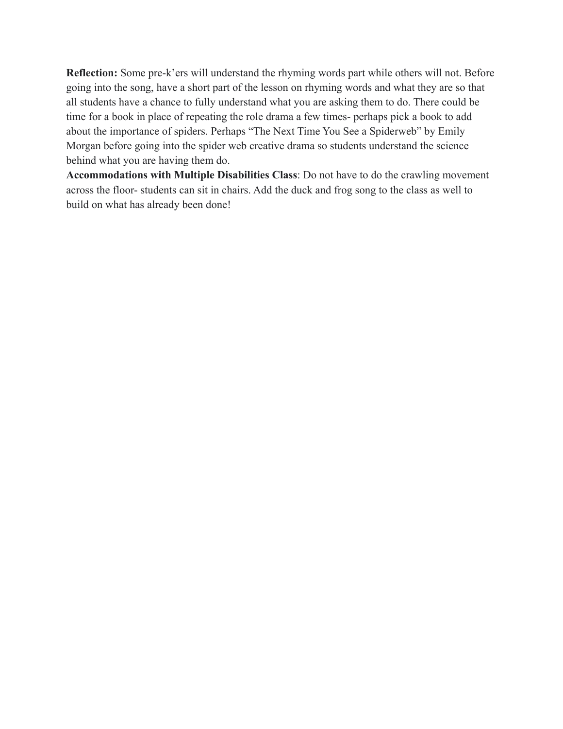**Reflection:** Some pre-k'ers will understand the rhyming words part while others will not. Before going into the song, have a short part of the lesson on rhyming words and what they are so that all students have a chance to fully understand what you are asking them to do. There could be time for a book in place of repeating the role drama a few times- perhaps pick a book to add about the importance of spiders. Perhaps "The Next Time You See a Spiderweb" by Emily Morgan before going into the spider web creative drama so students understand the science behind what you are having them do.

**Accommodations with Multiple Disabilities Class**: Do not have to do the crawling movement across the floor- students can sit in chairs. Add the duck and frog song to the class as well to build on what has already been done!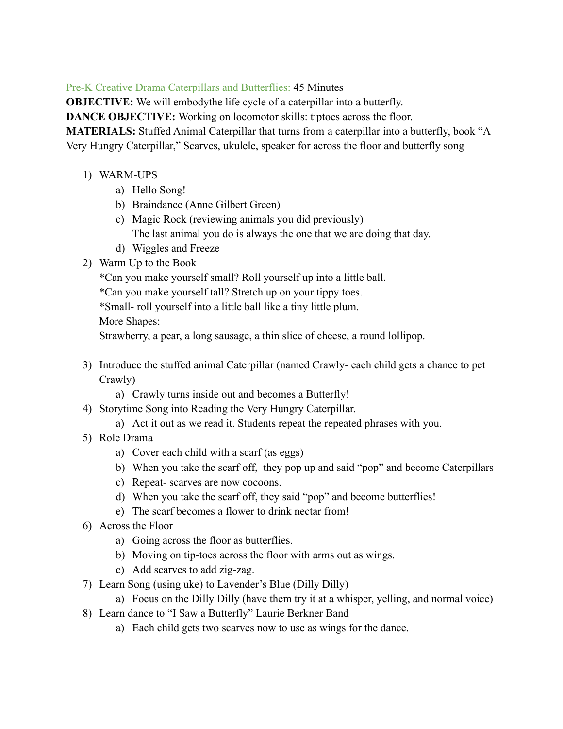Pre-K Creative Drama Caterpillars and Butterflies: 45 Minutes

**OBJECTIVE:** We will embodythe life cycle of a caterpillar into a butterfly.

**DANCE OBJECTIVE:** Working on locomotor skills: tiptoes across the floor.

**MATERIALS:** Stuffed Animal Caterpillar that turns from a caterpillar into a butterfly, book "A Very Hungry Caterpillar," Scarves, ukulele, speaker for across the floor and butterfly song

- 1) WARM-UPS
	- a) Hello Song!
	- b) Braindance (Anne Gilbert Green)
	- c) Magic Rock (reviewing animals you did previously) The last animal you do is always the one that we are doing that day.
	- d) Wiggles and Freeze
- 2) Warm Up to the Book

\*Can you make yourself small? Roll yourself up into a little ball.

\*Can you make yourself tall? Stretch up on your tippy toes.

\*Small- roll yourself into a little ball like a tiny little plum.

More Shapes:

Strawberry, a pear, a long sausage, a thin slice of cheese, a round lollipop.

- 3) Introduce the stuffed animal Caterpillar (named Crawly- each child gets a chance to pet Crawly)
	- a) Crawly turns inside out and becomes a Butterfly!
- 4) Storytime Song into Reading the Very Hungry Caterpillar.
	- a) Act it out as we read it. Students repeat the repeated phrases with you.
- 5) Role Drama
	- a) Cover each child with a scarf (as eggs)
	- b) When you take the scarf off, they pop up and said "pop" and become Caterpillars
	- c) Repeat- scarves are now cocoons.
	- d) When you take the scarf off, they said "pop" and become butterflies!
	- e) The scarf becomes a flower to drink nectar from!
- 6) Across the Floor
	- a) Going across the floor as butterflies.
	- b) Moving on tip-toes across the floor with arms out as wings.
	- c) Add scarves to add zig-zag.
- 7) Learn Song (using uke) to Lavender's Blue (Dilly Dilly)
	- a) Focus on the Dilly Dilly (have them try it at a whisper, yelling, and normal voice)
- 8) Learn dance to "I Saw a Butterfly" Laurie Berkner Band
	- a) Each child gets two scarves now to use as wings for the dance.